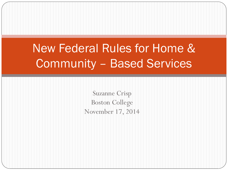### New Federal Rules for Home & Community – Based Services

Suzanne Crisp Boston College November 17, 2014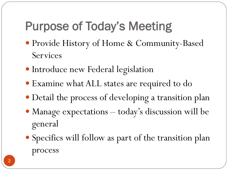# Purpose of Today's Meeting

- Provide History of Home & Community-Based Services
- Introduce new Federal legislation
- Examine what ALL states are required to do
- Detail the process of developing a transition plan
- Manage expectations today's discussion will be general
- Specifics will follow as part of the transition plan process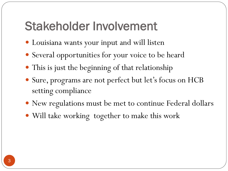### Stakeholder Involvement

- Louisiana wants your input and will listen
- Several opportunities for your voice to be heard
- This is just the beginning of that relationship
- Sure, programs are not perfect but let's focus on HCB setting compliance
- New regulations must be met to continue Federal dollars
- Will take working together to make this work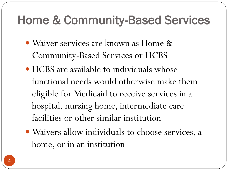### Home & Community-Based Services

- Waiver services are known as Home & Community-Based Services or HCBS
- HCBS are available to individuals whose functional needs would otherwise make them eligible for Medicaid to receive services in a hospital, nursing home, intermediate care facilities or other similar institution
- Waivers allow individuals to choose services, a home, or in an institution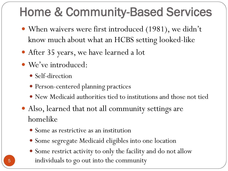# Home & Community-Based Services

- When waivers were first introduced (1981), we didn't know much about what an HCBS setting looked-like
- After 35 years, we have learned a lot
- We've introduced:
	- Self-direction
	- Person-centered planning practices
	- New Medicaid authorities tied to institutions and those not tied
- Also, learned that not all community settings are homelike
	- Some as restrictive as an institution
	- Some segregate Medicaid eligibles into one location
	- Some restrict activity to only the facility and do not allow individuals to go out into the community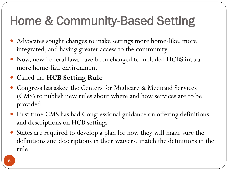# Home & Community-Based Setting

- Advocates sought changes to make settings more home-like, more integrated, and having greater access to the community
- Now, new Federal laws have been changed to included HCBS into a more home-like environment
- Called the **HCB Setting Rule**
- Congress has asked the Centers for Medicare & Medicaid Services (CMS) to publish new rules about where and how services are to be provided
- First time CMS has had Congressional guidance on offering definitions and descriptions on HCB settings
- States are required to develop a plan for how they will make sure the definitions and descriptions in their waivers, match the definitions in the rule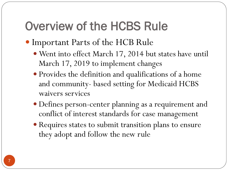## Overview of the HCBS Rule

- Important Parts of the HCB Rule
	- Went into effect March 17, 2014 but states have until March 17, 2019 to implement changes
	- Provides the definition and qualifications of a home and community- based setting for Medicaid HCBS waivers services
	- Defines person-center planning as a requirement and conflict of interest standards for case management
	- Requires states to submit transition plans to ensure they adopt and follow the new rule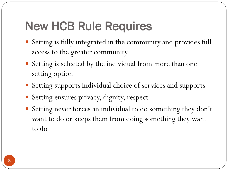## New HCB Rule Requires

- Setting is fully integrated in the community and provides full access to the greater community
- Setting is selected by the individual from more than one setting option
- Setting supports individual choice of services and supports
- Setting ensures privacy, dignity, respect
- Setting never forces an individual to do something they don't want to do or keeps them from doing something they want to do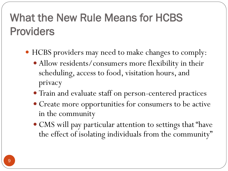### What the New Rule Means for HCBS Providers

- HCBS providers may need to make changes to comply:
	- Allow residents/consumers more flexibility in their scheduling, access to food, visitation hours, and privacy
	- Train and evaluate staff on person-centered practices
	- Create more opportunities for consumers to be active in the community
	- CMS will pay particular attention to settings that "have the effect of isolating individuals from the community"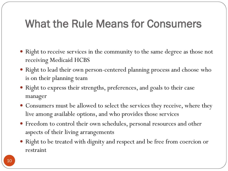#### What the Rule Means for Consumers

- Right to receive services in the community to the same degree as those not receiving Medicaid HCBS
- Right to lead their own person-centered planning process and choose who is on their planning team
- Right to express their strengths, preferences, and goals to their case manager
- Consumers must be allowed to select the services they receive, where they live among available options, and who provides those services
- Freedom to control their own schedules, personal resources and other aspects of their living arrangements
- Right to be treated with dignity and respect and be free from coercion or restraint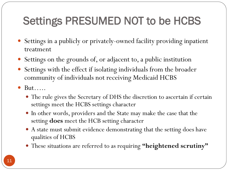### Settings PRESUMED NOT to be HCBS

- Settings in a publicly or privately-owned facility providing inpatient treatment
- Settings on the grounds of, or adjacent to, a public institution
- Settings with the effect if isolating individuals from the broader community of individuals not receiving Medicaid HCBS
- But…..
	- The rule gives the Secretary of DHS the discretion to ascertain if certain settings meet the HCBS settings character
	- In other words, providers and the State may make the case that the setting **does** meet the HCB setting character
	- A state must submit evidence demonstrating that the setting does have qualities of HCBS
	- These situations are referred to as requiring **"heightened scrutiny"**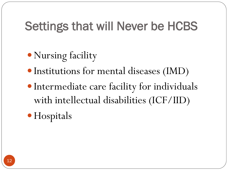### Settings that will Never be HCBS

- Nursing facility
- Institutions for mental diseases (IMD)
- Intermediate care facility for individuals with intellectual disabilities (ICF/IID)

• Hospitals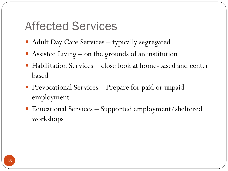#### Affected Services

- Adult Day Care Services typically segregated
- Assisted Living on the grounds of an institution
- Habilitation Services close look at home-based and center based
- Prevocational Services Prepare for paid or unpaid employment
- Educational Services Supported employment/sheltered workshops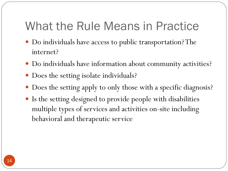### What the Rule Means in Practice

- Do individuals have access to public transportation? The internet?
- Do individuals have information about community activities?
- Does the setting isolate individuals?
- Does the setting apply to only those with a specific diagnosis?
- Is the setting designed to provide people with disabilities multiple types of services and activities on-site including behavioral and therapeutic service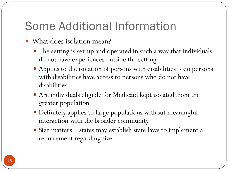### Some Additional Information

- What does isolation mean?
	- The setting is set-up and operated in such a way that individuals do not have experiences outside the setting
	- Applies to the isolation of persons with disabilities do persons with disabilities have access to persons who do not have disabilities
	- Are individuals eligible for Medicaid kept isolated from the greater population
	- Definitely applies to large populations without meaningful interaction with the broader community
	- Size matters states may establish state laws to implement a requirement regarding size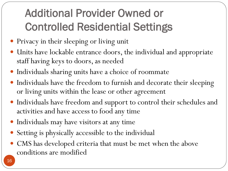## Additional Provider Owned or Controlled Residential Settings

- Privacy in their sleeping or living unit
- Units have lockable entrance doors, the individual and appropriate staff having keys to doors, as needed
- Individuals sharing units have a choice of roommate
- Individuals have the freedom to furnish and decorate their sleeping or living units within the lease or other agreement
- Individuals have freedom and support to control their schedules and activities and have access to food any time
- Individuals may have visitors at any time
- Setting is physically accessible to the individual
- CMS has developed criteria that must be met when the above conditions are modified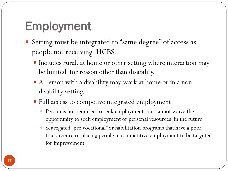# Employment

- Setting must be integrated to "same degree" of access as people not receiving HCBS.
	- Includes rural, at home or other setting where interaction may be limited for reason other than disability.
	- A Person with a disability may work at home or in a nondisability setting.
	- Full access to competive integrated employment
		- Person is not required to seek employment, but cannot waive the opportunity to seek employment or personal resources in the future.
		- Segregated "pre vocational" or habilitation programs that have a poor track record of placing people in competitive employment to be targeted for improvement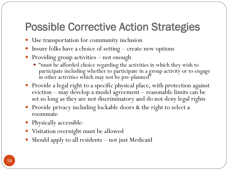#### Possible Corrective Action Strategies

- Use transportation for community inclusion
- Insure folks have a choice of setting create new options
- Providing group activities not enough
	- "must be afforded choice regarding the activities in which they wish to participate including whether to participate in a group activity or to engage in other activities which may not be pre-planned"
- Provide a legal right to a specific physical place, with protection against eviction – may develop a model agreement – reasonable limits can be set so long as they are not discriminatory and do not deny legal rights
- Provide privacy including lockable doors & the right to select a roommate
- Physically accessible-
- Visitation overnight must be allowed
- Should apply to all residents not just Medicaid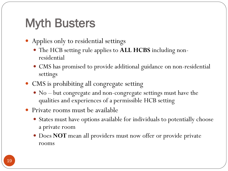## Myth Busters

- Applies only to residential settings
	- The HCB setting rule applies to **ALL HCBS** including nonresidential
	- CMS has promised to provide additional guidance on non-residential settings
- CMS is prohibiting all congregate setting
	- No but congregate and non-congregate settings must have the qualities and experiences of a permissible HCB setting
- Private rooms must be available
	- States must have options available for individuals to potentially choose a private room
	- Does **NOT** mean all providers must now offer or provide private rooms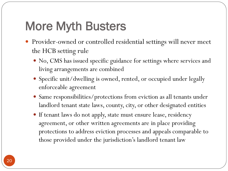## More Myth Busters

- Provider-owned or controlled residential settings will never meet the HCB setting rule
	- No, CMS has issued specific guidance for settings where services and living arrangements are combined
	- Specific unit/dwelling is owned, rented, or occupied under legally enforceable agreement
	- Same responsibilities/protections from eviction as all tenants under landlord tenant state laws, county, city, or other designated entities
	- If tenant laws do not apply, state must ensure lease, residency agreement, or other written agreements are in place providing protections to address eviction processes and appeals comparable to those provided under the jurisdiction's landlord tenant law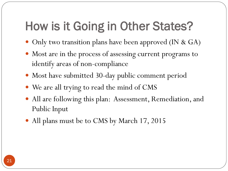## How is it Going in Other States?

- Only two transition plans have been approved (IN & GA)
- Most are in the process of assessing current programs to identify areas of non-compliance
- Most have submitted 30-day public comment period
- We are all trying to read the mind of CMS
- All are following this plan: Assessment, Remediation, and Public Input
- All plans must be to CMS by March 17, 2015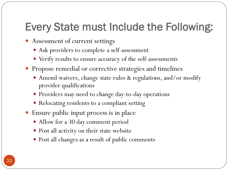#### Every State must Include the Following:

- Assessment of current settings
	- Ask providers to complete a self-assessment
	- Verify results to ensure accuracy of the self-assessments
- Propose remedial or corrective strategies and timelines
	- Amend waivers, change state rules & regulations, and/or modify provider qualifications
	- Providers may need to change day-to-day operations
	- Relocating residents to a compliant setting
- Ensure public input process is in place
	- Allow for a 30 day comment period
	- Post all activity on their state website
	- Post all changes as a result of public comments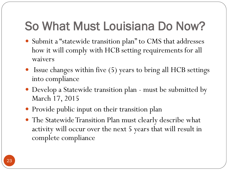## So What Must Louisiana Do Now?

- Submit a "statewide transition plan" to CMS that addresses how it will comply with HCB setting requirements for all waivers
- Issue changes within five (5) years to bring all HCB settings into compliance
- Develop a Statewide transition plan must be submitted by March 17, 2015
- Provide public input on their transition plan
- The Statewide Transition Plan must clearly describe what activity will occur over the next 5 years that will result in complete compliance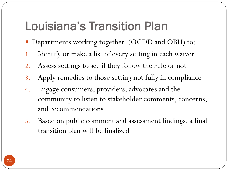## Louisiana's Transition Plan

- Departments working together (OCDD and OBH) to:
- 1. Identify or make a list of every setting in each waiver
- 2. Assess settings to see if they follow the rule or not
- 3. Apply remedies to those setting not fully in compliance
- 4. Engage consumers, providers, advocates and the community to listen to stakeholder comments, concerns, and recommendations
- 5. Based on public comment and assessment findings, a final transition plan will be finalized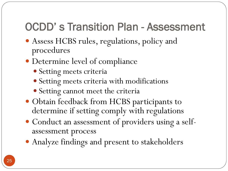### OCDD' s Transition Plan - Assessment

- Assess HCBS rules, regulations, policy and procedures
- Determine level of compliance
	- Setting meets criteria
	- Setting meets criteria with modifications
	- Setting cannot meet the criteria
- Obtain feedback from HCBS participants to determine if setting comply with regulations
- Conduct an assessment of providers using a selfassessment process
- Analyze findings and present to stakeholders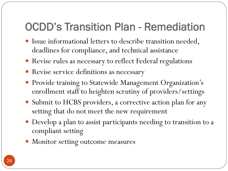#### OCDD's Transition Plan - Remediation

- Issue informational letters to describe transition needed, deadlines for compliance, and technical assistance
- Revise rules as necessary to reflect Federal regulations
- Revise service definitions as necessary
- Provide training to Statewide Management Organization's enrollment staff to heighten scrutiny of providers/settings
- Submit to HCBS providers, a corrective action plan for any setting that do not meet the new requirement
- Develop a plan to assist participants needing to transition to a compliant setting
- Monitor setting outcome measures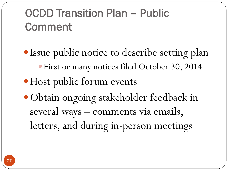### OCDD Transition Plan – Public Comment

• Issue public notice to describe setting plan First or many notices filed October 30, 2014 • Host public forum events Obtain ongoing stakeholder feedback in several ways – comments via emails, letters, and during in-person meetings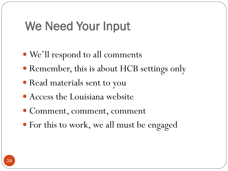### We Need Your Input

- We'll respond to all comments
- Remember, this is about HCB settings only
- Read materials sent to you
- Access the Louisiana website
- Comment, comment, comment
- For this to work, we all must be engaged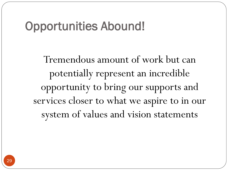#### Opportunities Abound!

Tremendous amount of work but can potentially represent an incredible opportunity to bring our supports and services closer to what we aspire to in our system of values and vision statements